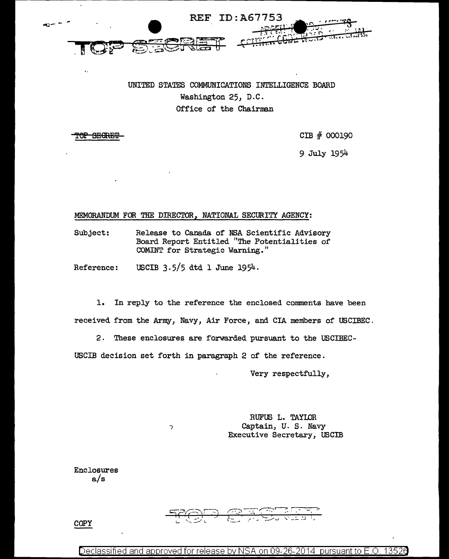

## UNITED STATES COMMUNICATIONS INTELLIGENCE BOARD Washington 25, D.C. Office of the Chairman

<del>OP SECRET</del>

 $\bar{\mathbf{r}}$  .

CIB # 000190

9 July 1954

## MEMORANDUM FOR THE DIRECTOR, NATIONAL SECURITY AGENCY:

Subject: Release to Canada of NSA Scientific Advisory Board Report Entitled "The Potentialities of COMINT for Strategic Warning."

Reference: USCIB 3.5/5 dtd 1 June 1954.

 $\overline{\phantom{1}}$ 

1. In reply to the reference the enclosed comments have been received from the Army, Navy, Air Force, and CIA members of USCIBEC .

2. These enclosures are forwarded pursuant to the USCIBEC-

USCIB decision set forth in paragraph 2 of the reference.

Very respectfully,

RUFUS L. TAYLOR Captain, u. s. Navy Executive Secretary, USCIB

Enclosures a/s



Declassified and approved for release by NSA on 09-26-2014 pursuant to E.O. 13526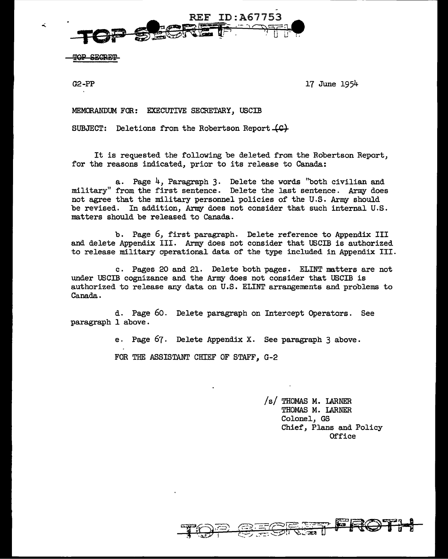

<u>AD CIMDIMM</u>

 $G2-PP$  17 June 1954

MEMORANDUM FOR: EXECUTIVE SECRETARY, USCIB

SUBJECT: Deletions from the Robertson Report  $\mathcal{L} \mathcal{L}$ 

It is requested the following be deleted from the Robertson Report, for the reasons indicated, prior to its release to Canada:

a. Page 4, Paragraph 3. Delete the words "both civilian and military" from the first sentence. Delete the last sentence. Army does not agree that the military personnel policies of the U.S. Army should be revised. In addition, Array does not consider that such internal U.S. matters should be released to Canada.

b. Page 6, first paragraph. Delete reference to Appendix III and delete Appendix III. Army does not consider that USCIB is authorized to release military operational data of the type included in Appendix III.

c. Pages 20 and 21. Delete both pages. ELINT matters are not under USCIB cognizance and the Army does not consider that USCIB is authorized to release any data on U.S. ELINT arrangements and problems to Canada.

d. Page 60. Delete paragraph on Intercept Operators. See paragraph 1 above.

e. Page 67. Delete Appendix X. See paragraph 3 above.

FOR THE ASSISTANT CHIEF OF STAFF, G-2

/s/ THOMAS M. LARNER THOMAS M. LARNER Colonel, GS Chief, Plans and Policy Office



ä.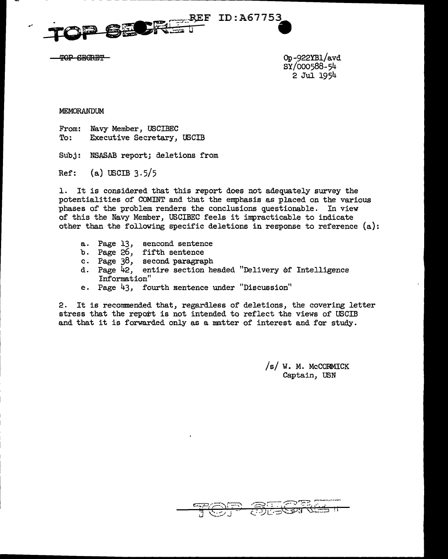

- - - - - --------------------------



Op-922YB1/avd SY/000588-54 2 Jul 1954

## MEMORANDUM

From: To: Navy Member, USCIBEC Executive Secretary, USCIB

Subj: NSASAB report; deletions from

Ref: (a) USCIB 3.5/5

1. It is considered that this report does not adequately survey the potentialities of COMINT and that the emphasis as placed on the various phases of the problem renders the conclusions questionable. In view of this the Navy Member, USCIBEC feels it impracticable to indicate other than the following specific deletions in response to reference (a):

- a. Page 13, sencond sentence
- b. Page 26, fifth sentence
- c. Page 38, second paragraph<br>d. Page 42, entire section he
- entire section headed "Delivery of Intelligence Information"
- e. Page 43, fourth sentence under "Discussion"

2. It is recommended that, regardless of deletions, the covering letter stress that the report is not intended to reflect the views of USCIB and that it is forwarded only as a matter of interest and for study.

> $/s/ W. M. Mc$ CORMICK Captain, USN

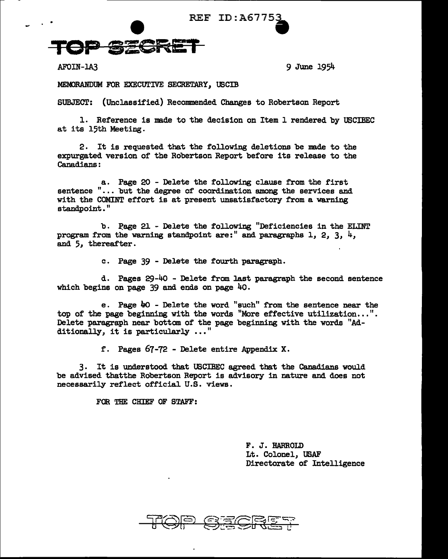

AFOIN-1A3 9 June 1954

MEMORANDUM FOR EXECUTIVE SECRETARY, USCIB

SUBJECT: (Unclassified) Recommended Changes to Robertson Report

1. Reference is made to the decision on Item 1 rendered by USCIBEC at its 15th Meeting.

2. It is requested that the following deletions be made to the expurgated version of the Robertson Report before its release to the Canadians:

a. Page 20 - Delete the following clause from the first sentence "... but the degree of coordination among the services and with the COMINT effort is at present unsatisfactory from a warning standpoint."

b. Page 21 - Delete the following "Deficiencies in the ELINT program from the warning standpoint are:" and paragraphs 1, 2, 3,  $4$ , and 5, thereafter.

c. Page 39 - Delete the fourth paragraph.

d. Pages 29-4o - Delete from last paragraph the second sentence which begins on page  $39$  and ends on page  $40$ .

e. Page  $40$  - Delete the word "such" from the sentence near the top of the page beginning with the words "More effective utilization...". Delete paragraph near bottom of the page beginning with the words "Additionally, it is particularly  $\ldots$ "

f. Pages 67-72 - Delete entire Appendix x.

3. It is understood that USCIBEC agreed that the Canadians would be advised thatthe Robertson Report is advisory in nature and does not necessarily reflect official U.S. views.

FOR THE CHIEF OF STAFF:

F. J. HARROLD Lt. Colonel, USAF Directorate of Intelligence